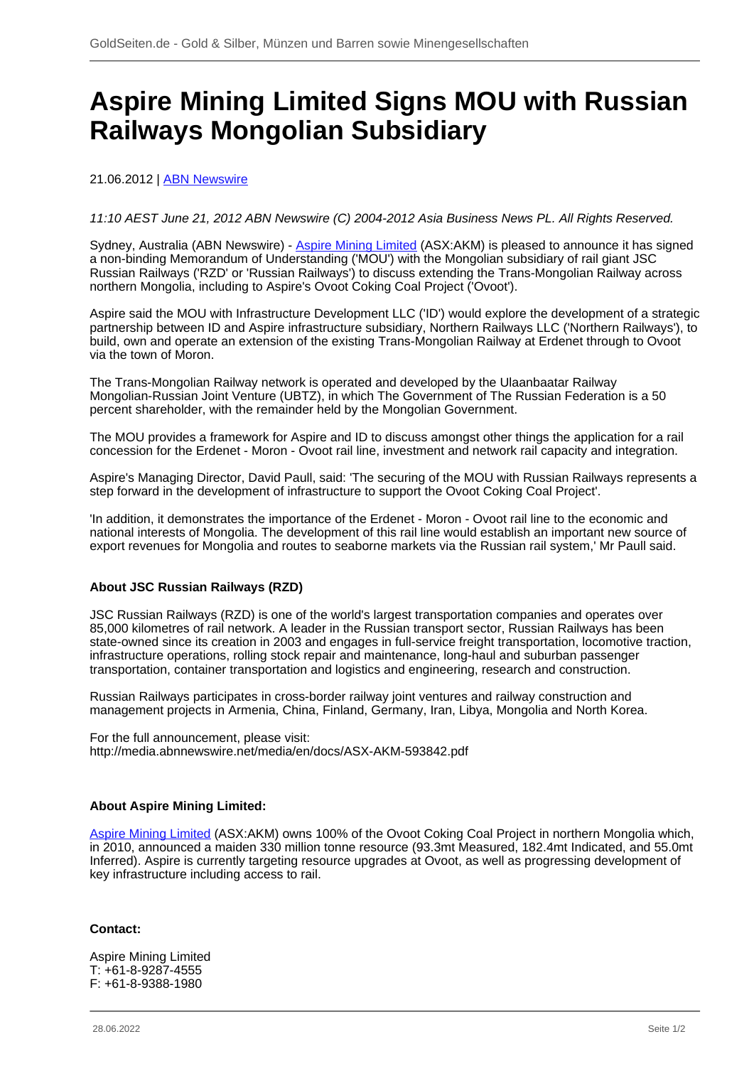# **Aspire Mining Limited Signs MOU with Russian Railways Mongolian Subsidiary**

## 21.06.2012 | **ABN Newswire**

## 11:10 AEST June 21, 2012 ABN Newswire (C) 2004-2012 Asia Business News PL. All Rights Reserved.

Sydney, Australia (ABN Newswire) - [Aspire Mining Limited](/minen/1673--Aspire-Mining-Ltd) (ASX:AKM) is pleased to announce it has signed a non-binding Memorandum of Understanding ('MOU') with the Mongolian subsidiary of rail giant JSC Russian Railways ('RZD' or 'Russian Railways') to discuss extending the Trans-Mongolian Railway across northern Mongolia, including to Aspire's Ovoot Coking Coal Project ('Ovoot').

Aspire said the MOU with Infrastructure Development LLC ('ID') would explore the development of a strategic partnership between ID and Aspire infrastructure subsidiary, Northern Railways LLC ('Northern Railways'), to build, own and operate an extension of the existing Trans-Mongolian Railway at Erdenet through to Ovoot via the town of Moron.

The Trans-Mongolian Railway network is operated and developed by the Ulaanbaatar Railway Mongolian-Russian Joint Venture (UBTZ), in which The Government of The Russian Federation is a 50 percent shareholder, with the remainder held by the Mongolian Government.

The MOU provides a framework for Aspire and ID to discuss amongst other things the application for a rail concession for the Erdenet - Moron - Ovoot rail line, investment and network rail capacity and integration.

Aspire's Managing Director, David Paull, said: 'The securing of the MOU with Russian Railways represents a step forward in the development of infrastructure to support the Ovoot Coking Coal Project'.

'In addition, it demonstrates the importance of the Erdenet - Moron - Ovoot rail line to the economic and national interests of Mongolia. The development of this rail line would establish an important new source of export revenues for Mongolia and routes to seaborne markets via the Russian rail system,' Mr Paull said.

### **About JSC Russian Railways (RZD)**

JSC Russian Railways (RZD) is one of the world's largest transportation companies and operates over 85,000 kilometres of rail network. A leader in the Russian transport sector, Russian Railways has been state-owned since its creation in 2003 and engages in full-service freight transportation, locomotive traction, infrastructure operations, rolling stock repair and maintenance, long-haul and suburban passenger transportation, container transportation and logistics and engineering, research and construction.

Russian Railways participates in cross-border railway joint ventures and railway construction and management projects in Armenia, China, Finland, Germany, Iran, Libya, Mongolia and North Korea.

For the full announcement, please visit: http://media.abnnewswire.net/media/en/docs/ASX-AKM-593842.pdf

### **About Aspire Mining Limited:**

[Aspire Mining Limited](/minen/1673--Aspire-Mining-Ltd) (ASX:AKM) owns 100% of the Ovoot Coking Coal Project in northern Mongolia which, in 2010, announced a maiden 330 million tonne resource (93.3mt Measured, 182.4mt Indicated, and 55.0mt Inferred). Aspire is currently targeting resource upgrades at Ovoot, as well as progressing development of key infrastructure including access to rail.

### **Contact:**

Aspire Mining Limited T: +61-8-9287-4555 F: +61-8-9388-1980